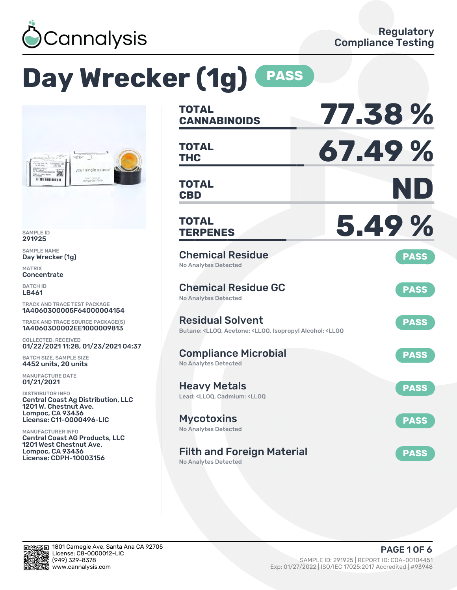

# **Day Wrecker (1g) PASS**



SAMPLE ID 291925

SAMPLE NAME Day Wrecker (1g)

MATRIX **Concentrate** 

BATCH ID LB461

TRACK AND TRACE TEST PACKAGE 1A4060300005F64000004154

TRACK AND TRACE SOURCE PACKAGE(S) 1A4060300002EE1000009813

COLLECTED, RECEIVED 01/22/2021 11:28, 01/23/2021 04:37

BATCH SIZE, SAMPLE SIZE 4452 units, 20 units

MANUFACTURE DATE 01/21/2021

DISTRIBUTOR INFO Central Coast Ag Distribution, LLC 1201 W. Chestnut Ave. Lompoc, CA 93436 License: C11-0000496-LIC

MANUFACTURER INFO Central Coast AG Products, LLC 1201 West Chestnut Ave. Lompoc, CA 93436 License: CDPH-10003156

| <b>TOTAL</b><br><b>CANNABINOIDS</b>                                                                                                   | 77.38%      |
|---------------------------------------------------------------------------------------------------------------------------------------|-------------|
| <b>TOTAL</b><br>THC                                                                                                                   | 67.49%      |
| <b>TOTAL</b><br><b>CBD</b>                                                                                                            | ND          |
| <b>TOTAL</b><br><b>TERPENES</b>                                                                                                       | 5.49%       |
| <b>Chemical Residue</b><br>No Analytes Detected                                                                                       | <b>PASS</b> |
| <b>Chemical Residue GC</b><br><b>No Analytes Detected</b>                                                                             | <b>PASS</b> |
| <b>Residual Solvent</b><br>Butane: <ll0q, <ll0q,="" <ll0q<="" acetone:="" alcohol:="" isopropyl="" td=""><td><b>PASS</b></td></ll0q,> | <b>PASS</b> |
| <b>Compliance Microbial</b><br>No Analytes Detected                                                                                   | <b>PASS</b> |
| <b>Heavy Metals</b><br>Lead: <ll00, <ll00<="" cadmium:="" td=""><td><b>PASS</b></td></ll00,>                                          | <b>PASS</b> |
| <b>Mycotoxins</b><br>No Analytes Detected                                                                                             | <b>PASS</b> |
| <b>Filth and Foreign Material</b>                                                                                                     | <b>PASS</b> |

No Analytes Detected

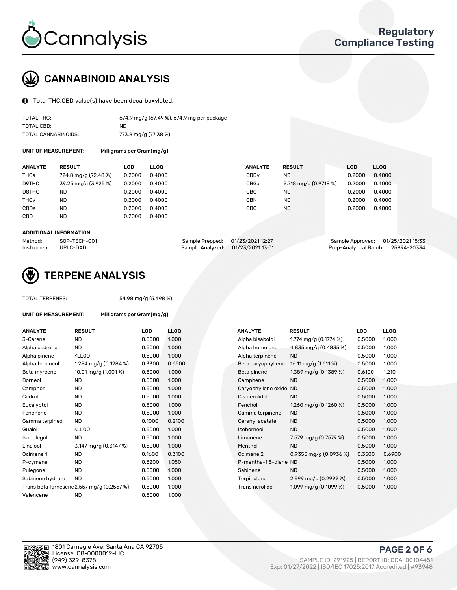

# CANNABINOID ANALYSIS

Total THC,CBD value(s) have been decarboxylated.

| TOTAL THC:          | 674.9 mg/g (67.49 %), 674.9 mg per package |
|---------------------|--------------------------------------------|
| TOTAL CBD:          | ND.                                        |
| TOTAL CANNABINOIDS: | 773.8 mg/g (77.38 %)                       |

UNIT OF MEASUREMENT: Milligrams per Gram(mg/g)

| <b>ANALYTE</b>         | <b>RESULT</b>        | LOD    | <b>LLOO</b> | <b>ANALYTE</b>   | <b>RESULT</b>         | <b>LOD</b> | LL <sub>00</sub> |
|------------------------|----------------------|--------|-------------|------------------|-----------------------|------------|------------------|
| <b>THCa</b>            | 724.8 mg/g (72.48 %) | 0.2000 | 0.4000      | CBD <sub>v</sub> | ND.                   | 0.2000     | 0.4000           |
| D9THC                  | 39.25 mg/g (3.925 %) | 0.2000 | 0.4000      | CBGa             | 9.718 mg/g (0.9718 %) | 0.2000     | 0.4000           |
| D8THC                  | <b>ND</b>            | 0.2000 | 0.4000      | CBG              | <b>ND</b>             | 0.2000     | 0.4000           |
| <b>THC<sub>V</sub></b> | <b>ND</b>            | 0.2000 | 0.4000      | CBN              | <b>ND</b>             | 0.2000     | 0.4000           |
| CBDa                   | ND.                  | 0.2000 | 0.4000      | CBC              | <b>ND</b>             | 0.2000     | 0.4000           |
| CBD                    | ND.                  | 0.2000 | 0.4000      |                  |                       |            |                  |

#### ADDITIONAL INFORMATION

| Method:              | SOP-TECH-001 | Sample Prepped: 01/23/2021 12:27 |                                   | Sample Approved: 01/25/2021 15:33  |  |
|----------------------|--------------|----------------------------------|-----------------------------------|------------------------------------|--|
| Instrument: UPLC-DAD |              |                                  | Sample Analyzed: 01/23/2021 13:01 | Prep-Analytical Batch: 25894-20334 |  |



### TERPENE ANALYSIS

| UNIT OF MEASUREMENT: |  |
|----------------------|--|
|                      |  |

TOTAL TERPENES: 54.98 mg/g (5.498 %)

Milligrams per Gram(mg/g)

| <b>ANALYTE</b>   | <b>RESULT</b>                                                                                                                      | <b>LOD</b> | <b>LLOQ</b> |  | <b>ANALYTE</b>         | <b>RESULT</b>           | <b>LOD</b> | <b>LLOO</b> |
|------------------|------------------------------------------------------------------------------------------------------------------------------------|------------|-------------|--|------------------------|-------------------------|------------|-------------|
| 3-Carene         | <b>ND</b>                                                                                                                          | 0.5000     | 1.000       |  | Alpha bisabolol        | 1.774 mg/g $(0.1774\%)$ | 0.5000     | 1.000       |
| Alpha cedrene    | <b>ND</b>                                                                                                                          | 0.5000     | 1.000       |  | Alpha humulene         | 4.835 mg/g (0.4835 %)   | 0.5000     | 1.000       |
| Alpha pinene     | <ll0q< td=""><td>0.5000</td><td>1.000</td><td></td><td>Alpha terpinene</td><td><b>ND</b></td><td>0.5000</td><td>1.000</td></ll0q<> | 0.5000     | 1.000       |  | Alpha terpinene        | <b>ND</b>               | 0.5000     | 1.000       |
| Alpha terpineol  | 1.284 mg/g $(0.1284\%)$                                                                                                            | 0.3300     | 0.6500      |  | Beta caryophyllene     | 16.11 mg/g (1.611 %)    | 0.5000     | 1.000       |
| Beta myrcene     | 10.01 mg/g (1.001 %)                                                                                                               | 0.5000     | 1.000       |  | Beta pinene            | 1.389 mg/g (0.1389 %)   | 0.6100     | 1.210       |
| <b>Borneol</b>   | <b>ND</b>                                                                                                                          | 0.5000     | 1.000       |  | Camphene               | <b>ND</b>               | 0.5000     | 1.000       |
| Camphor          | <b>ND</b>                                                                                                                          | 0.5000     | 1.000       |  | Caryophyllene oxide ND |                         | 0.5000     | 1.000       |
| Cedrol           | <b>ND</b>                                                                                                                          | 0.5000     | 1.000       |  | Cis nerolidol          | <b>ND</b>               | 0.5000     | 1.000       |
| Eucalyptol       | <b>ND</b>                                                                                                                          | 0.5000     | 1.000       |  | Fenchol                | 1.260 mg/g $(0.1260\%)$ | 0.5000     | 1.000       |
| Fenchone         | <b>ND</b>                                                                                                                          | 0.5000     | 1.000       |  | Gamma terpinene        | <b>ND</b>               | 0.5000     | 1.000       |
| Gamma terpineol  | <b>ND</b>                                                                                                                          | 0.1000     | 0.2100      |  | Geranyl acetate        | <b>ND</b>               | 0.5000     | 1.000       |
| Guaiol           | <ll0q< td=""><td>0.5000</td><td>1.000</td><td></td><td>Isoborneol</td><td><b>ND</b></td><td>0.5000</td><td>1.000</td></ll0q<>      | 0.5000     | 1.000       |  | Isoborneol             | <b>ND</b>               | 0.5000     | 1.000       |
| Isopulegol       | <b>ND</b>                                                                                                                          | 0.5000     | 1.000       |  | Limonene               | 7.579 mg/g (0.7579 %)   | 0.5000     | 1.000       |
| Linalool         | 3.147 mg/g (0.3147 %)                                                                                                              | 0.5000     | 1.000       |  | Menthol                | <b>ND</b>               | 0.5000     | 1.000       |
| Ocimene 1        | <b>ND</b>                                                                                                                          | 0.1600     | 0.3100      |  | Ocimene 2              | 0.9355 mg/g (0.0936 %)  | 0.3500     | 0.6900      |
| P-cymene         | <b>ND</b>                                                                                                                          | 0.5200     | 1.050       |  | P-mentha-1,5-diene ND  |                         | 0.5000     | 1.000       |
| Pulegone         | <b>ND</b>                                                                                                                          | 0.5000     | 1.000       |  | Sabinene               | <b>ND</b>               | 0.5000     | 1.000       |
| Sabinene hydrate | <b>ND</b>                                                                                                                          | 0.5000     | 1.000       |  | Terpinolene            | 2.999 mg/g $(0.2999\%)$ | 0.5000     | 1.000       |
|                  | Trans beta farnesene 2.557 mg/g (0.2557 %)                                                                                         | 0.5000     | 1.000       |  | Trans nerolidol        | 1.099 mg/g $(0.1099\%)$ | 0.5000     | 1.000       |
| Valencene        | <b>ND</b>                                                                                                                          | 0.5000     | 1.000       |  |                        |                         |            |             |

| <b>NALYTE</b>         | <b>RESULT</b>           | LOD    | LLOQ   |
|-----------------------|-------------------------|--------|--------|
| Alpha bisabolol       | 1.774 mg/g $(0.1774\%)$ | 0.5000 | 1.000  |
| Alpha humulene        | 4.835 mg/g (0.4835 %)   | 0.5000 | 1.000  |
| Alpha terpinene       | <b>ND</b>               | 0.5000 | 1.000  |
| Beta caryophyllene    | 16.11 mg/g (1.611 %)    | 0.5000 | 1.000  |
| Beta pinene           | 1.389 mg/g (0.1389 %)   | 0.6100 | 1.210  |
| Camphene              | <b>ND</b>               | 0.5000 | 1.000  |
| Caryophyllene oxide   | <b>ND</b>               | 0.5000 | 1.000  |
| Cis nerolidol         | <b>ND</b>               | 0.5000 | 1.000  |
| Fenchol               | 1.260 mg/g $(0.1260\%)$ | 0.5000 | 1.000  |
| Gamma terpinene       | <b>ND</b>               | 0.5000 | 1.000  |
| Geranyl acetate       | <b>ND</b>               | 0.5000 | 1.000  |
| soborneol             | <b>ND</b>               | 0.5000 | 1.000  |
| Limonene              | 7.579 mg/g (0.7579 %)   | 0.5000 | 1.000  |
| Menthol               | <b>ND</b>               | 0.5000 | 1.000  |
| Ocimene 2             | 0.9355 mg/g (0.0936 %)  | 0.3500 | 0.6900 |
| P-mentha-1,5-diene ND |                         | 0.5000 | 1.000  |
| Sabinene              | <b>ND</b>               | 0.5000 | 1.000  |
| Terpinolene           | 2.999 mg/g $(0.2999\%)$ | 0.5000 | 1.000  |
| Trans nerolidol       | 1.099 mg/g (0.1099 %)   | 0.5000 | 1.000  |
|                       |                         |        |        |

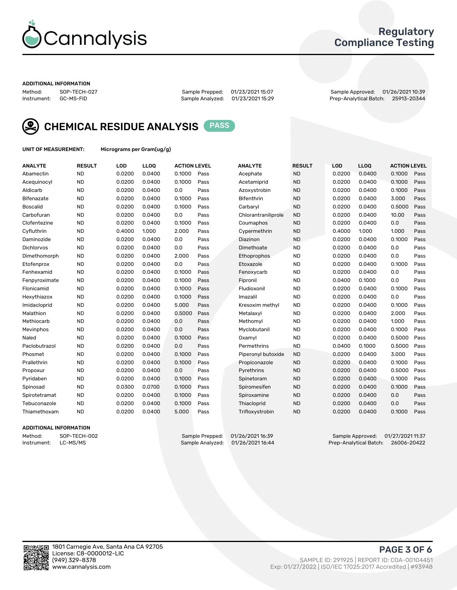

### Regulatory Compliance Testing

#### ADDITIONAL INFORMATION

Method: SOP-TECH-027 Sample Prepped: 01/23/2021 15:07 Sample Approved: 01/26/2021 10:39 Prep-Analytical Batch: 25913-20344



CHEMICAL RESIDUE ANALYSIS PASS

UNIT OF MEASUREMENT: Micrograms per Gram(ug/g)

| <b>ANALYTE</b>  | <b>RESULT</b> | LOD    | LL <sub>OO</sub> | <b>ACTION LEVEL</b> |      | <b>ANALYTE</b>      | <b>RESULT</b> | <b>LOD</b> | <b>LLOQ</b> | <b>ACTION LEVEL</b> |      |
|-----------------|---------------|--------|------------------|---------------------|------|---------------------|---------------|------------|-------------|---------------------|------|
| Abamectin       | <b>ND</b>     | 0.0200 | 0.0400           | 0.1000              | Pass | Acephate            | <b>ND</b>     | 0.0200     | 0.0400      | 0.1000              | Pass |
| Acequinocyl     | <b>ND</b>     | 0.0200 | 0.0400           | 0.1000              | Pass | Acetamiprid         | <b>ND</b>     | 0.0200     | 0.0400      | 0.1000              | Pass |
| Aldicarb        | <b>ND</b>     | 0.0200 | 0.0400           | 0.0                 | Pass | Azoxystrobin        | <b>ND</b>     | 0.0200     | 0.0400      | 0.1000              | Pass |
| Bifenazate      | <b>ND</b>     | 0.0200 | 0.0400           | 0.1000              | Pass | <b>Bifenthrin</b>   | <b>ND</b>     | 0.0200     | 0.0400      | 3.000               | Pass |
| <b>Boscalid</b> | <b>ND</b>     | 0.0200 | 0.0400           | 0.1000              | Pass | Carbarvl            | <b>ND</b>     | 0.0200     | 0.0400      | 0.5000              | Pass |
| Carbofuran      | <b>ND</b>     | 0.0200 | 0.0400           | 0.0                 | Pass | Chlorantraniliprole | <b>ND</b>     | 0.0200     | 0.0400      | 10.00               | Pass |
| Clofentezine    | <b>ND</b>     | 0.0200 | 0.0400           | 0.1000              | Pass | Coumaphos           | <b>ND</b>     | 0.0200     | 0.0400      | 0.0                 | Pass |
| Cyfluthrin      | <b>ND</b>     | 0.4000 | 1.000            | 2.000               | Pass | Cypermethrin        | <b>ND</b>     | 0.4000     | 1.000       | 1.000               | Pass |
| Daminozide      | <b>ND</b>     | 0.0200 | 0.0400           | 0.0                 | Pass | Diazinon            | <b>ND</b>     | 0.0200     | 0.0400      | 0.1000              | Pass |
| Dichlorvos      | <b>ND</b>     | 0.0200 | 0.0400           | 0.0                 | Pass | Dimethoate          | <b>ND</b>     | 0.0200     | 0.0400      | 0.0                 | Pass |
| Dimethomorph    | <b>ND</b>     | 0.0200 | 0.0400           | 2.000               | Pass | Ethoprophos         | <b>ND</b>     | 0.0200     | 0.0400      | 0.0                 | Pass |
| Etofenprox      | <b>ND</b>     | 0.0200 | 0.0400           | 0.0                 | Pass | Etoxazole           | <b>ND</b>     | 0.0200     | 0.0400      | 0.1000              | Pass |
| Fenhexamid      | <b>ND</b>     | 0.0200 | 0.0400           | 0.1000              | Pass | Fenoxycarb          | <b>ND</b>     | 0.0200     | 0.0400      | 0.0                 | Pass |
| Fenpyroximate   | <b>ND</b>     | 0.0200 | 0.0400           | 0.1000              | Pass | Fipronil            | <b>ND</b>     | 0.0400     | 0.1000      | 0.0                 | Pass |
| Flonicamid      | <b>ND</b>     | 0.0200 | 0.0400           | 0.1000              | Pass | Fludioxonil         | <b>ND</b>     | 0.0200     | 0.0400      | 0.1000              | Pass |
| Hexythiazox     | <b>ND</b>     | 0.0200 | 0.0400           | 0.1000              | Pass | Imazalil            | <b>ND</b>     | 0.0200     | 0.0400      | 0.0                 | Pass |
| Imidacloprid    | <b>ND</b>     | 0.0200 | 0.0400           | 5.000               | Pass | Kresoxim methyl     | <b>ND</b>     | 0.0200     | 0.0400      | 0.1000              | Pass |
| Malathion       | <b>ND</b>     | 0.0200 | 0.0400           | 0.5000              | Pass | Metalaxyl           | <b>ND</b>     | 0.0200     | 0.0400      | 2.000               | Pass |
| Methiocarb      | <b>ND</b>     | 0.0200 | 0.0400           | 0.0                 | Pass | Methomyl            | <b>ND</b>     | 0.0200     | 0.0400      | 1.000               | Pass |
| Mevinphos       | <b>ND</b>     | 0.0200 | 0.0400           | 0.0                 | Pass | Myclobutanil        | <b>ND</b>     | 0.0200     | 0.0400      | 0.1000              | Pass |
| Naled           | <b>ND</b>     | 0.0200 | 0.0400           | 0.1000              | Pass | Oxamyl              | <b>ND</b>     | 0.0200     | 0.0400      | 0.5000              | Pass |
| Paclobutrazol   | <b>ND</b>     | 0.0200 | 0.0400           | 0.0                 | Pass | Permethrins         | <b>ND</b>     | 0.0400     | 0.1000      | 0.5000              | Pass |
| Phosmet         | <b>ND</b>     | 0.0200 | 0.0400           | 0.1000              | Pass | Piperonyl butoxide  | <b>ND</b>     | 0.0200     | 0.0400      | 3.000               | Pass |
| Prallethrin     | <b>ND</b>     | 0.0200 | 0.0400           | 0.1000              | Pass | Propiconazole       | <b>ND</b>     | 0.0200     | 0.0400      | 0.1000              | Pass |
| Propoxur        | <b>ND</b>     | 0.0200 | 0.0400           | 0.0                 | Pass | Pyrethrins          | <b>ND</b>     | 0.0200     | 0.0400      | 0.5000              | Pass |
| Pyridaben       | <b>ND</b>     | 0.0200 | 0.0400           | 0.1000              | Pass | Spinetoram          | <b>ND</b>     | 0.0200     | 0.0400      | 0.1000              | Pass |
| Spinosad        | <b>ND</b>     | 0.0300 | 0.0700           | 0.1000              | Pass | Spiromesifen        | <b>ND</b>     | 0.0200     | 0.0400      | 0.1000              | Pass |
| Spirotetramat   | <b>ND</b>     | 0.0200 | 0.0400           | 0.1000              | Pass | Spiroxamine         | <b>ND</b>     | 0.0200     | 0.0400      | 0.0                 | Pass |
| Tebuconazole    | <b>ND</b>     | 0.0200 | 0.0400           | 0.1000              | Pass | Thiacloprid         | <b>ND</b>     | 0.0200     | 0.0400      | 0.0                 | Pass |
| Thiamethoxam    | <b>ND</b>     | 0.0200 | 0.0400           | 5.000               | Pass | Trifloxystrobin     | <b>ND</b>     | 0.0200     | 0.0400      | 0.1000              | Pass |

#### ADDITIONAL INFORMATION

Method: SOP-TECH-002 Sample Prepped: 01/26/2021 16:39 Sample Approved: 01/27/2021 11:37<br>Instrument: LC-MS/MS Sample Analyzed: 01/26/2021 16:44 Prep-Analytical Batch: 26006-20422 Prep-Analytical Batch: 26006-20422

PAGE 3 OF 6

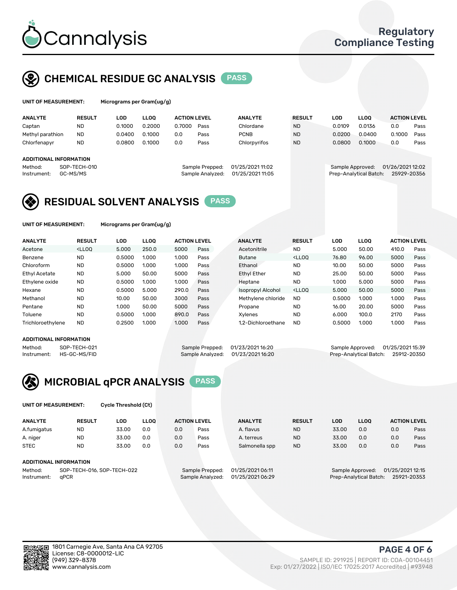

# CHEMICAL RESIDUE GC ANALYSIS PASS

| UNIT OF MEASUREMENT: | Microgra |
|----------------------|----------|
|                      |          |

ms per Gram(ug/g)

| <b>ANALYTE</b>         | <b>RESULT</b> | LOD    | <b>LLOO</b> | <b>ACTION LEVEL</b> |                  | <b>ANALYTE</b>   | <b>RESULT</b> | LOD              | <b>LLOO</b>            | <b>ACTION LEVEL</b> |      |
|------------------------|---------------|--------|-------------|---------------------|------------------|------------------|---------------|------------------|------------------------|---------------------|------|
| Captan                 | <b>ND</b>     | 0.1000 | 0.2000      | 0.7000              | Pass             | Chlordane        | <b>ND</b>     | 0.0109           | 0.0136                 | 0.0                 | Pass |
| Methyl parathion       | <b>ND</b>     | 0.0400 | 0.1000      | 0.0                 | Pass             | <b>PCNB</b>      | <b>ND</b>     | 0.0200           | 0.0400                 | 0.1000              | Pass |
| Chlorfenapyr           | <b>ND</b>     | 0.0800 | 0.1000      | 0.0                 | Pass             | Chlorpyrifos     | <b>ND</b>     | 0.0800           | 0.1000                 | 0.0                 | Pass |
|                        |               |        |             |                     |                  |                  |               |                  |                        |                     |      |
| ADDITIONAL INFORMATION |               |        |             |                     |                  |                  |               |                  |                        |                     |      |
| Method:                | SOP-TECH-010  |        |             |                     | Sample Prepped:  | 01/25/2021 11:02 |               | Sample Approved: |                        | 01/26/2021 12:02    |      |
| Instrument:            | GC-MS/MS      |        |             |                     | Sample Analyzed: | 01/25/2021 11:05 |               |                  | Prep-Analytical Batch: | 25929-20356         |      |
|                        |               |        |             |                     |                  |                  |               |                  |                        |                     |      |

## RESIDUAL SOLVENT ANALYSIS PASS

UNIT OF MEASUREMENT: Micrograms per Gram(ug/g)

| <b>ANALYTE</b>       | <b>RESULT</b>                                                                                                                                                             | LOD    | <b>LLOO</b> | <b>ACTION LEVEL</b> |      | <b>ANALYTE</b>     | <b>RESULT</b>                                                               | LOD    | LLOO  | <b>ACTION LEVEL</b> |      |
|----------------------|---------------------------------------------------------------------------------------------------------------------------------------------------------------------------|--------|-------------|---------------------|------|--------------------|-----------------------------------------------------------------------------|--------|-------|---------------------|------|
| Acetone              | <lloo< td=""><td>5.000</td><td>250.0</td><td>5000</td><td>Pass</td><td>Acetonitrile</td><td><b>ND</b></td><td>5.000</td><td>50.00</td><td>410.0</td><td>Pass</td></lloo<> | 5.000  | 250.0       | 5000                | Pass | Acetonitrile       | <b>ND</b>                                                                   | 5.000  | 50.00 | 410.0               | Pass |
| Benzene              | <b>ND</b>                                                                                                                                                                 | 0.5000 | 1.000       | 1.000               | Pass | <b>Butane</b>      | <lloo< td=""><td>76.80</td><td>96.00</td><td>5000</td><td>Pass</td></lloo<> | 76.80  | 96.00 | 5000                | Pass |
| Chloroform           | <b>ND</b>                                                                                                                                                                 | 0.5000 | 1.000       | 1.000               | Pass | Ethanol            | <b>ND</b>                                                                   | 10.00  | 50.00 | 5000                | Pass |
| <b>Ethyl Acetate</b> | <b>ND</b>                                                                                                                                                                 | 5.000  | 50.00       | 5000                | Pass | <b>Ethyl Ether</b> | <b>ND</b>                                                                   | 25.00  | 50.00 | 5000                | Pass |
| Ethylene oxide       | <b>ND</b>                                                                                                                                                                 | 0.5000 | 1.000       | 1.000               | Pass | Heptane            | <b>ND</b>                                                                   | 1.000  | 5.000 | 5000                | Pass |
| Hexane               | <b>ND</b>                                                                                                                                                                 | 0.5000 | 5.000       | 290.0               | Pass | Isopropyl Alcohol  | <lloo< td=""><td>5.000</td><td>50.00</td><td>5000</td><td>Pass</td></lloo<> | 5.000  | 50.00 | 5000                | Pass |
| Methanol             | <b>ND</b>                                                                                                                                                                 | 10.00  | 50.00       | 3000                | Pass | Methylene chloride | <b>ND</b>                                                                   | 0.5000 | 1.000 | 1.000               | Pass |
| Pentane              | <b>ND</b>                                                                                                                                                                 | 1.000  | 50.00       | 5000                | Pass | Propane            | <b>ND</b>                                                                   | 16.00  | 20.00 | 5000                | Pass |
| Toluene              | <b>ND</b>                                                                                                                                                                 | 0.5000 | 1.000       | 890.0               | Pass | Xvlenes            | <b>ND</b>                                                                   | 6.000  | 100.0 | 2170                | Pass |
| Trichloroethylene    | <b>ND</b>                                                                                                                                                                 | 0.2500 | 1.000       | 1.000               | Pass | 1.2-Dichloroethane | <b>ND</b>                                                                   | 0.5000 | 1.000 | 1.000               | Pass |

#### ADDITIONAL INFORMATION

|         | <b>ADDITIONAL INFORMATION</b> |                                   |                                    |  |
|---------|-------------------------------|-----------------------------------|------------------------------------|--|
| Method: | SOP-TECH-021                  | Sample Prepped: 01/23/2021 16:20  | Sample Approved: 01/25/2021 15:39  |  |
|         | Instrument: HS-GC-MS/FID      | Sample Analyzed: 01/23/2021 16:20 | Prep-Analytical Batch: 25912-20350 |  |



UNIT OF MEASUREMENT: Cycle Threshold (Ct)

| <b>ANALYTE</b>         | <b>RESULT</b>              | LOD   | <b>LLOO</b> |     | <b>ACTION LEVEL</b> | <b>ANALYTE</b>   | <b>RESULT</b> | LOD                                  | <b>LLOO</b>            | <b>ACTION LEVEL</b> |             |
|------------------------|----------------------------|-------|-------------|-----|---------------------|------------------|---------------|--------------------------------------|------------------------|---------------------|-------------|
| A.fumigatus            | <b>ND</b>                  | 33.00 | 0.0         | 0.0 | Pass                | A. flavus        | <b>ND</b>     | 33.00                                | 0.0                    | 0.0                 | Pass        |
| A. niger               | <b>ND</b>                  | 33.00 | 0.0         | 0.0 | Pass                | A. terreus       | <b>ND</b>     | 33.00                                | 0.0                    | 0.0                 | Pass        |
| <b>STEC</b>            | <b>ND</b>                  | 33.00 | 0.0         | 0.0 | Pass                | Salmonella spp   | <b>ND</b>     | 33.00                                | 0.0                    | 0.0                 | Pass        |
| ADDITIONAL INFORMATION |                            |       |             |     |                     |                  |               |                                      |                        |                     |             |
| Method:                | SOP-TECH-016, SOP-TECH-022 |       |             |     | Sample Prepped:     | 01/25/2021 06:11 |               | 01/25/2021 12:15<br>Sample Approved: |                        |                     |             |
| Instrument:            | aPCR                       |       |             |     | Sample Analyzed:    | 01/25/2021 06:29 |               |                                      | Prep-Analytical Batch: |                     | 25921-20353 |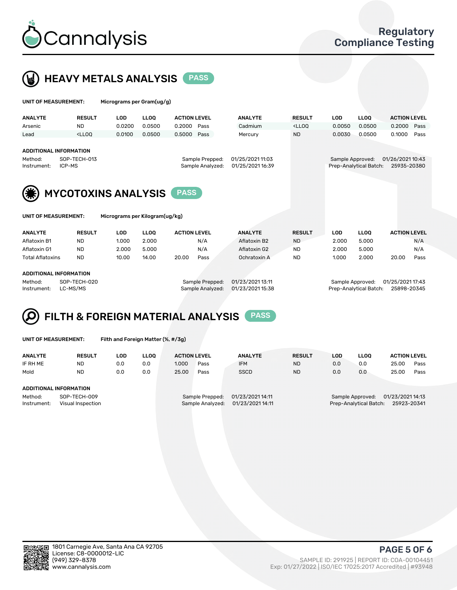



| UNIT OF MEASUREMENT:                                                                                                     |                                                                                                                                                                             | Micrograms per Gram(ug/g) |             |                     |      |                                      |                                                                                 |                  |                        |                                 |      |  |
|--------------------------------------------------------------------------------------------------------------------------|-----------------------------------------------------------------------------------------------------------------------------------------------------------------------------|---------------------------|-------------|---------------------|------|--------------------------------------|---------------------------------------------------------------------------------|------------------|------------------------|---------------------------------|------|--|
| <b>ANALYTE</b>                                                                                                           | <b>RESULT</b>                                                                                                                                                               | <b>LOD</b>                | <b>LLOO</b> | <b>ACTION LEVEL</b> |      | <b>ANALYTE</b>                       | <b>RESULT</b>                                                                   | <b>LOD</b>       | <b>LLOO</b>            | <b>ACTION LEVEL</b>             |      |  |
| Arsenic                                                                                                                  | <b>ND</b>                                                                                                                                                                   | 0.0200                    | 0.0500      | 0.2000              | Pass | Cadmium                              | <lloo< th=""><th>0.0050</th><th>0.0500</th><th>0.2000</th><th>Pass</th></lloo<> | 0.0050           | 0.0500                 | 0.2000                          | Pass |  |
| Lead                                                                                                                     | <lloo< td=""><td>0.0100</td><td>0.0500</td><td>0.5000</td><td>Pass</td><td>Mercury</td><td><b>ND</b></td><td>0.0030</td><td>0.0500</td><td>0.1000</td><td>Pass</td></lloo<> | 0.0100                    | 0.0500      | 0.5000              | Pass | Mercury                              | <b>ND</b>                                                                       | 0.0030           | 0.0500                 | 0.1000                          | Pass |  |
| <b>ADDITIONAL INFORMATION</b><br>SOP-TECH-013<br>Sample Prepped:<br>Method:<br>Sample Analyzed:<br>ICP-MS<br>Instrument: |                                                                                                                                                                             |                           |             |                     |      | 01/25/2021 11:03<br>01/25/2021 16:39 |                                                                                 | Sample Approved: | Prep-Analytical Batch: | 01/26/2021 10:43<br>25935-20380 |      |  |
| (兼)<br><b>MYCOTOXINS ANALYSIS</b><br><b>PASS</b>                                                                         |                                                                                                                                                                             |                           |             |                     |      |                                      |                                                                                 |                  |                        |                                 |      |  |
| UNIT OF MEASUREMENT:                                                                                                     |                                                                                                                                                                             |                           |             |                     |      |                                      |                                                                                 |                  |                        |                                 |      |  |

| <b>ANALYTE</b>          | <b>RESULT</b> | LOD   | LLOO  | <b>ACTION LEVEL</b> |      | <b>ANALYTE</b> | <b>RESULT</b> | LOD   | <b>LLOO</b> | <b>ACTION LEVEL</b> |      |
|-------------------------|---------------|-------|-------|---------------------|------|----------------|---------------|-------|-------------|---------------------|------|
| Aflatoxin B1            | <b>ND</b>     | 1.000 | 2.000 |                     | N/A  | Aflatoxin B2   | <b>ND</b>     | 2.000 | 5.000       |                     | N/A  |
| Aflatoxin G1            | ND            | 2.000 | 5.000 |                     | N/A  | Aflatoxin G2   | <b>ND</b>     | 2.000 | 5.000       |                     | N/A  |
| <b>Total Aflatoxins</b> | <b>ND</b>     | 10.00 | 14.00 | 20.00               | Pass | Ochratoxin A   | <b>ND</b>     | 1.000 | 2.000       | 20.00               | Pass |
|                         |               |       |       |                     |      |                |               |       |             |                     |      |
| ADDITIONAL INFORMATION  |               |       |       |                     |      |                |               |       |             |                     |      |

Method: SOP-TECH-020 Sample Prepped: 01/23/2021 13:11 Sample Approved: 01/25/2021 17:43 Instrument: LC-MS/MS Sample Analyzed: 01/23/2021 15:38 Prep-Analytical Batch: 25898-20345

# FILTH & FOREIGN MATERIAL ANALYSIS PASS

UNIT OF MEASUREMENT: Filth and Foreign Matter (%, #/3g)

| <b>ANALYTE</b>                                              | <b>RESULT</b> | LOD | <b>LLOO</b> | <b>ACTION LEVEL</b> |                                     | <b>ANALYTE</b>                       | <b>RESULT</b> | LOD | <b>LLOO</b> | <b>ACTION LEVEL</b>                                                           |      |  |  |
|-------------------------------------------------------------|---------------|-----|-------------|---------------------|-------------------------------------|--------------------------------------|---------------|-----|-------------|-------------------------------------------------------------------------------|------|--|--|
| IF RH ME                                                    | <b>ND</b>     | 0.0 | 0.0         | 1.000               | Pass                                | <b>IFM</b>                           | <b>ND</b>     | 0.0 | 0.0         | 25.00                                                                         | Pass |  |  |
| Mold                                                        | <b>ND</b>     | 0.0 | 0.0         | 25.00               | Pass                                | <b>SSCD</b>                          | <b>ND</b>     | 0.0 | 0.0         | 25.00                                                                         | Pass |  |  |
| ADDITIONAL INFORMATION                                      |               |     |             |                     |                                     |                                      |               |     |             |                                                                               |      |  |  |
| Method:<br>SOP-TECH-009<br>Instrument:<br>Visual Inspection |               |     |             |                     | Sample Prepped:<br>Sample Analyzed: | 01/23/2021 14:11<br>01/23/2021 14:11 |               |     |             | 01/23/2021 14:13<br>Sample Approved:<br>Prep-Analytical Batch:<br>25923-20341 |      |  |  |